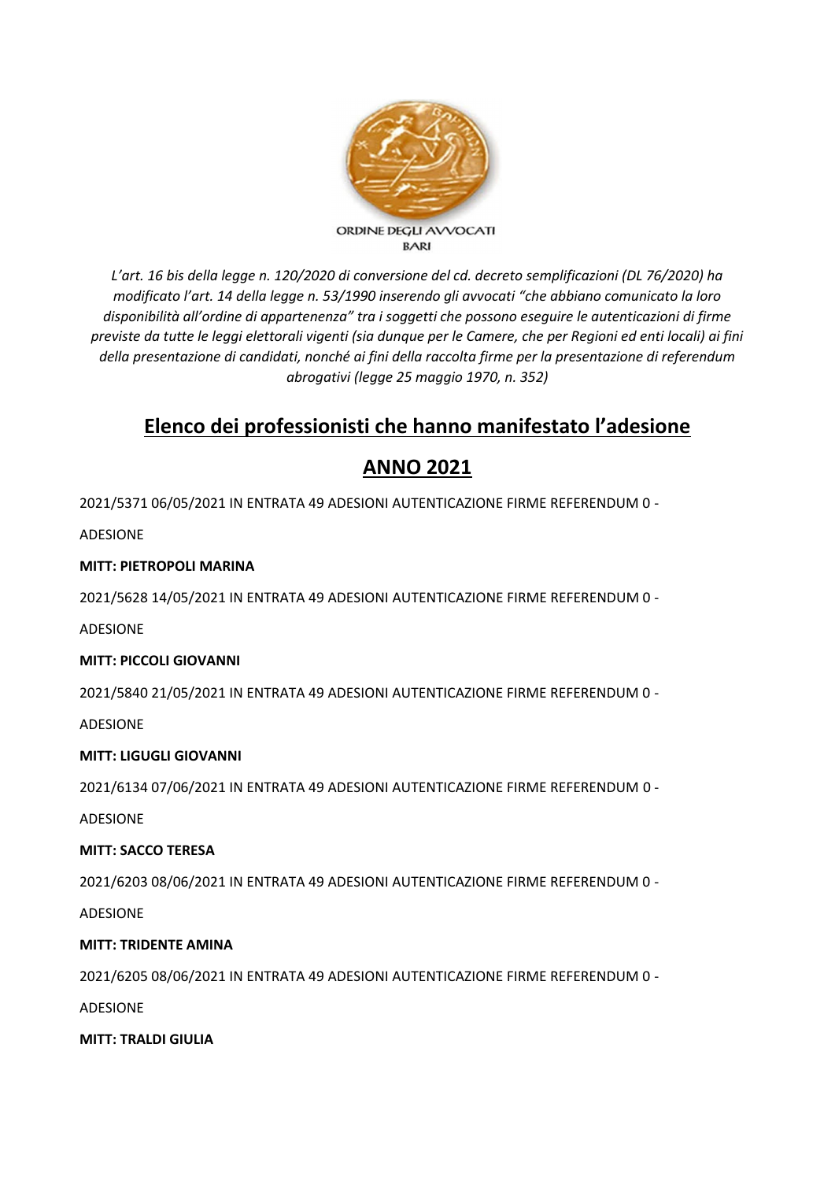

*L'art. 16 bis della legge n. 120/2020 di conversione del cd. decreto semplificazioni (DL 76/2020) ha modificato l'art. 14 della legge n. 53/1990 inserendo gli avvocati "che abbiano comunicato la loro disponibilità all'ordine di appartenenza" tra i soggetti che possono eseguire le autenticazioni di firme previste da tutte le leggi elettorali vigenti (sia dunque per le Camere, che per Regioni ed enti locali) ai fini della presentazione di candidati, nonché ai fini della raccolta firme per la presentazione di referendum abrogativi (legge 25 maggio 1970, n. 352)*

# **Elenco dei professionisti che hanno manifestato l'adesione**

# **ANNO 2021**

2021/5371 06/05/2021 IN ENTRATA 49 ADESIONI AUTENTICAZIONE FIRME REFERENDUM 0 -

ADESIONE

# **MITT: PIETROPOLI MARINA**

2021/5628 14/05/2021 IN ENTRATA 49 ADESIONI AUTENTICAZIONE FIRME REFERENDUM 0 -

ADESIONE

# **MITT: PICCOLI GIOVANNI**

2021/5840 21/05/2021 IN ENTRATA 49 ADESIONI AUTENTICAZIONE FIRME REFERENDUM 0 -

ADESIONE

# **MITT: LIGUGLI GIOVANNI**

2021/6134 07/06/2021 IN ENTRATA 49 ADESIONI AUTENTICAZIONE FIRME REFERENDUM 0 -

ADESIONE

# **MITT: SACCO TERESA**

2021/6203 08/06/2021 IN ENTRATA 49 ADESIONI AUTENTICAZIONE FIRME REFERENDUM 0 -

ADESIONE

# **MITT: TRIDENTE AMINA**

2021/6205 08/06/2021 IN ENTRATA 49 ADESIONI AUTENTICAZIONE FIRME REFERENDUM 0 -

ADESIONE

**MITT: TRALDI GIULIA**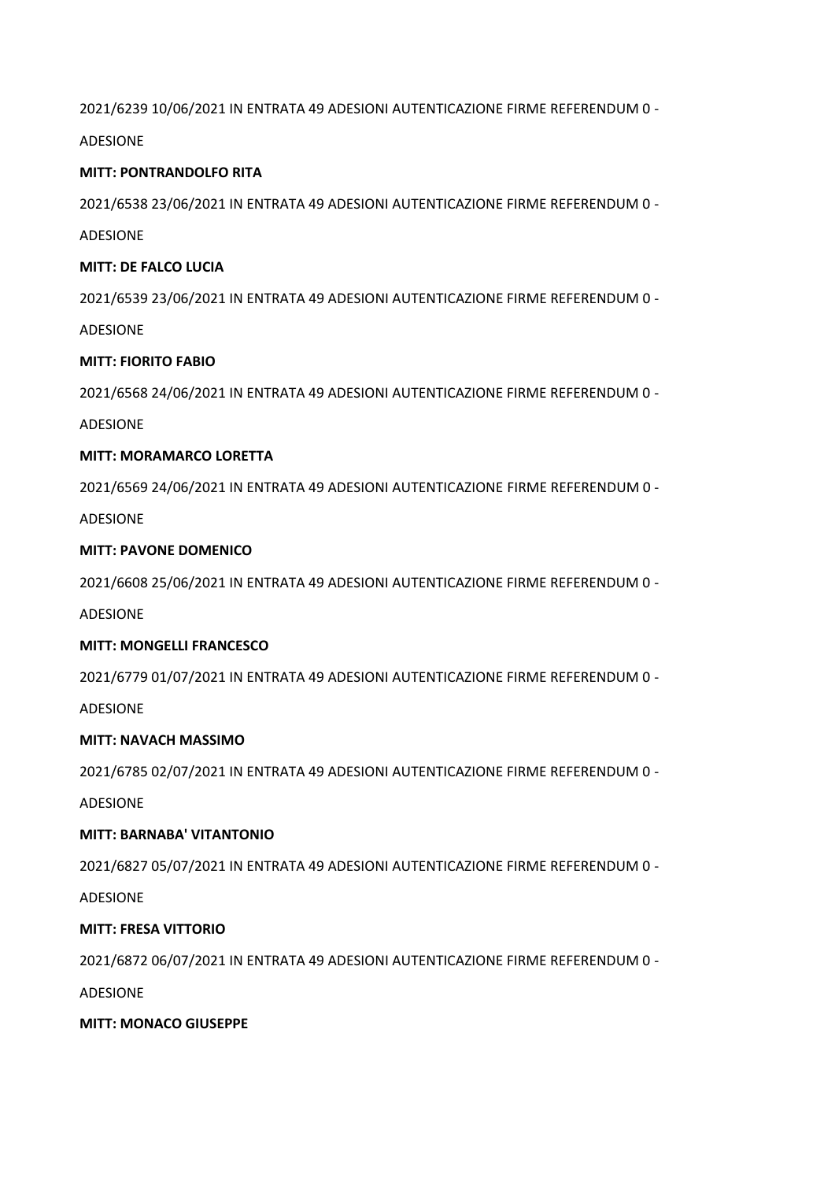2021/6239 10/06/2021 IN ENTRATA 49 ADESIONI AUTENTICAZIONE FIRME REFERENDUM 0 -

ADESIONE

## **MITT: PONTRANDOLFO RITA**

2021/6538 23/06/2021 IN ENTRATA 49 ADESIONI AUTENTICAZIONE FIRME REFERENDUM 0 -

ADESIONE

#### **MITT: DE FALCO LUCIA**

2021/6539 23/06/2021 IN ENTRATA 49 ADESIONI AUTENTICAZIONE FIRME REFERENDUM 0 -

ADESIONE

## **MITT: FIORITO FABIO**

2021/6568 24/06/2021 IN ENTRATA 49 ADESIONI AUTENTICAZIONE FIRME REFERENDUM 0 -

ADESIONE

## **MITT: MORAMARCO LORETTA**

2021/6569 24/06/2021 IN ENTRATA 49 ADESIONI AUTENTICAZIONE FIRME REFERENDUM 0 -

ADESIONE

## **MITT: PAVONE DOMENICO**

2021/6608 25/06/2021 IN ENTRATA 49 ADESIONI AUTENTICAZIONE FIRME REFERENDUM 0 -

ADESIONE

#### **MITT: MONGELLI FRANCESCO**

2021/6779 01/07/2021 IN ENTRATA 49 ADESIONI AUTENTICAZIONE FIRME REFERENDUM 0 -

ADESIONE

# **MITT: NAVACH MASSIMO**

2021/6785 02/07/2021 IN ENTRATA 49 ADESIONI AUTENTICAZIONE FIRME REFERENDUM 0 -

ADESIONE

# **MITT: BARNABA' VITANTONIO**

2021/6827 05/07/2021 IN ENTRATA 49 ADESIONI AUTENTICAZIONE FIRME REFERENDUM 0 -

ADESIONE

# **MITT: FRESA VITTORIO**

2021/6872 06/07/2021 IN ENTRATA 49 ADESIONI AUTENTICAZIONE FIRME REFERENDUM 0 -

ADESIONE

#### **MITT: MONACO GIUSEPPE**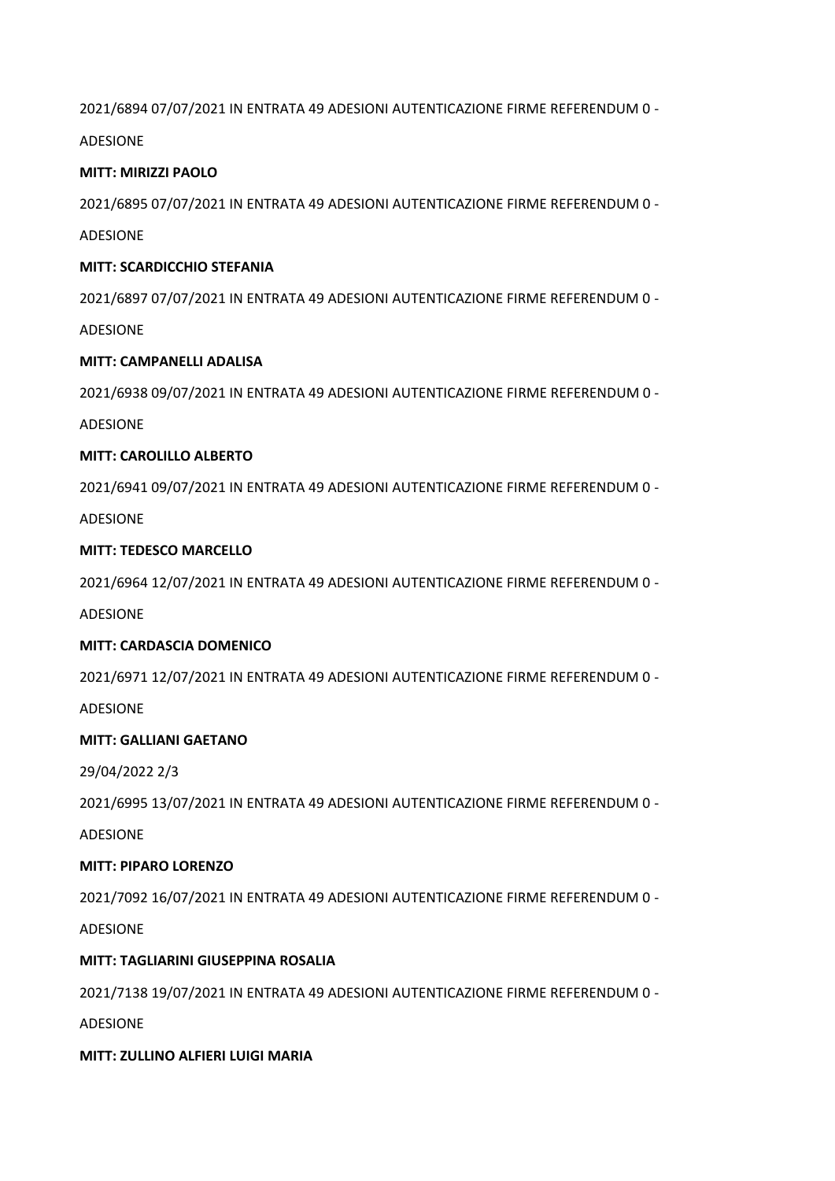2021/6894 07/07/2021 IN ENTRATA 49 ADESIONI AUTENTICAZIONE FIRME REFERENDUM 0 -

ADESIONE

## **MITT: MIRIZZI PAOLO**

2021/6895 07/07/2021 IN ENTRATA 49 ADESIONI AUTENTICAZIONE FIRME REFERENDUM 0 -

ADESIONE

#### **MITT: SCARDICCHIO STEFANIA**

2021/6897 07/07/2021 IN ENTRATA 49 ADESIONI AUTENTICAZIONE FIRME REFERENDUM 0 -

ADESIONE

## **MITT: CAMPANELLI ADALISA**

2021/6938 09/07/2021 IN ENTRATA 49 ADESIONI AUTENTICAZIONE FIRME REFERENDUM 0 -

ADESIONE

## **MITT: CAROLILLO ALBERTO**

2021/6941 09/07/2021 IN ENTRATA 49 ADESIONI AUTENTICAZIONE FIRME REFERENDUM 0 -

ADESIONE

## **MITT: TEDESCO MARCELLO**

2021/6964 12/07/2021 IN ENTRATA 49 ADESIONI AUTENTICAZIONE FIRME REFERENDUM 0 -

ADESIONE

#### **MITT: CARDASCIA DOMENICO**

2021/6971 12/07/2021 IN ENTRATA 49 ADESIONI AUTENTICAZIONE FIRME REFERENDUM 0 -

ADESIONE

#### **MITT: GALLIANI GAETANO**

29/04/2022 2/3

2021/6995 13/07/2021 IN ENTRATA 49 ADESIONI AUTENTICAZIONE FIRME REFERENDUM 0 -

ADESIONE

#### **MITT: PIPARO LORENZO**

2021/7092 16/07/2021 IN ENTRATA 49 ADESIONI AUTENTICAZIONE FIRME REFERENDUM 0 -

ADESIONE

# **MITT: TAGLIARINI GIUSEPPINA ROSALIA**

2021/7138 19/07/2021 IN ENTRATA 49 ADESIONI AUTENTICAZIONE FIRME REFERENDUM 0 -

ADESIONE

#### **MITT: ZULLINO ALFIERI LUIGI MARIA**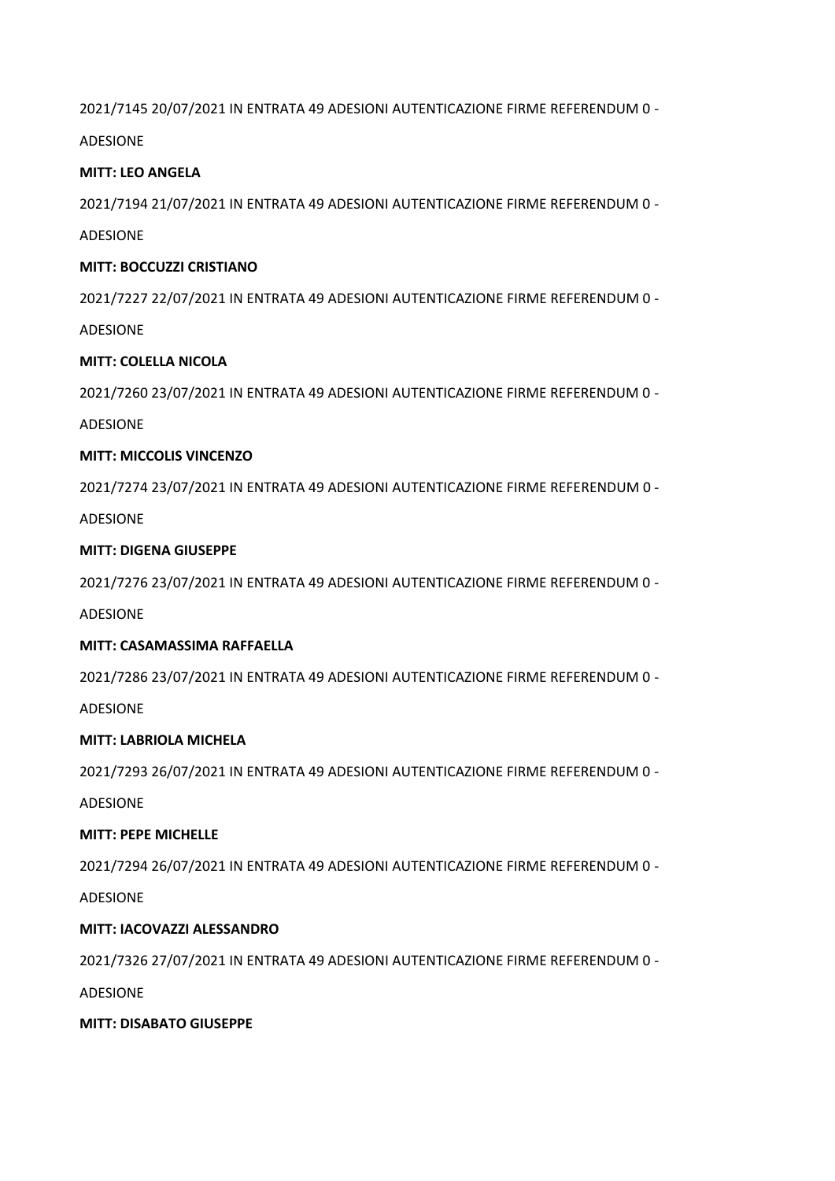2021/7145 20/07/2021 IN ENTRATA 49 ADESIONI AUTENTICAZIONE FIRME REFERENDUM 0 -

ADESIONE

#### **MITT: LEO ANGELA**

2021/7194 21/07/2021 IN ENTRATA 49 ADESIONI AUTENTICAZIONE FIRME REFERENDUM 0 -

ADESIONE

#### **MITT: BOCCUZZI CRISTIANO**

2021/7227 22/07/2021 IN ENTRATA 49 ADESIONI AUTENTICAZIONE FIRME REFERENDUM 0 -

ADESIONE

## **MITT: COLELLA NICOLA**

2021/7260 23/07/2021 IN ENTRATA 49 ADESIONI AUTENTICAZIONE FIRME REFERENDUM 0 -

ADESIONE

## **MITT: MICCOLIS VINCENZO**

2021/7274 23/07/2021 IN ENTRATA 49 ADESIONI AUTENTICAZIONE FIRME REFERENDUM 0 -

ADESIONE

## **MITT: DIGENA GIUSEPPE**

2021/7276 23/07/2021 IN ENTRATA 49 ADESIONI AUTENTICAZIONE FIRME REFERENDUM 0 -

ADESIONE

#### **MITT: CASAMASSIMA RAFFAELLA**

2021/7286 23/07/2021 IN ENTRATA 49 ADESIONI AUTENTICAZIONE FIRME REFERENDUM 0 -

ADESIONE

# **MITT: LABRIOLA MICHELA**

2021/7293 26/07/2021 IN ENTRATA 49 ADESIONI AUTENTICAZIONE FIRME REFERENDUM 0 -

ADESIONE

# **MITT: PEPE MICHELLE**

2021/7294 26/07/2021 IN ENTRATA 49 ADESIONI AUTENTICAZIONE FIRME REFERENDUM 0 -

ADESIONE

# **MITT: IACOVAZZI ALESSANDRO**

2021/7326 27/07/2021 IN ENTRATA 49 ADESIONI AUTENTICAZIONE FIRME REFERENDUM 0 -

ADESIONE

#### **MITT: DISABATO GIUSEPPE**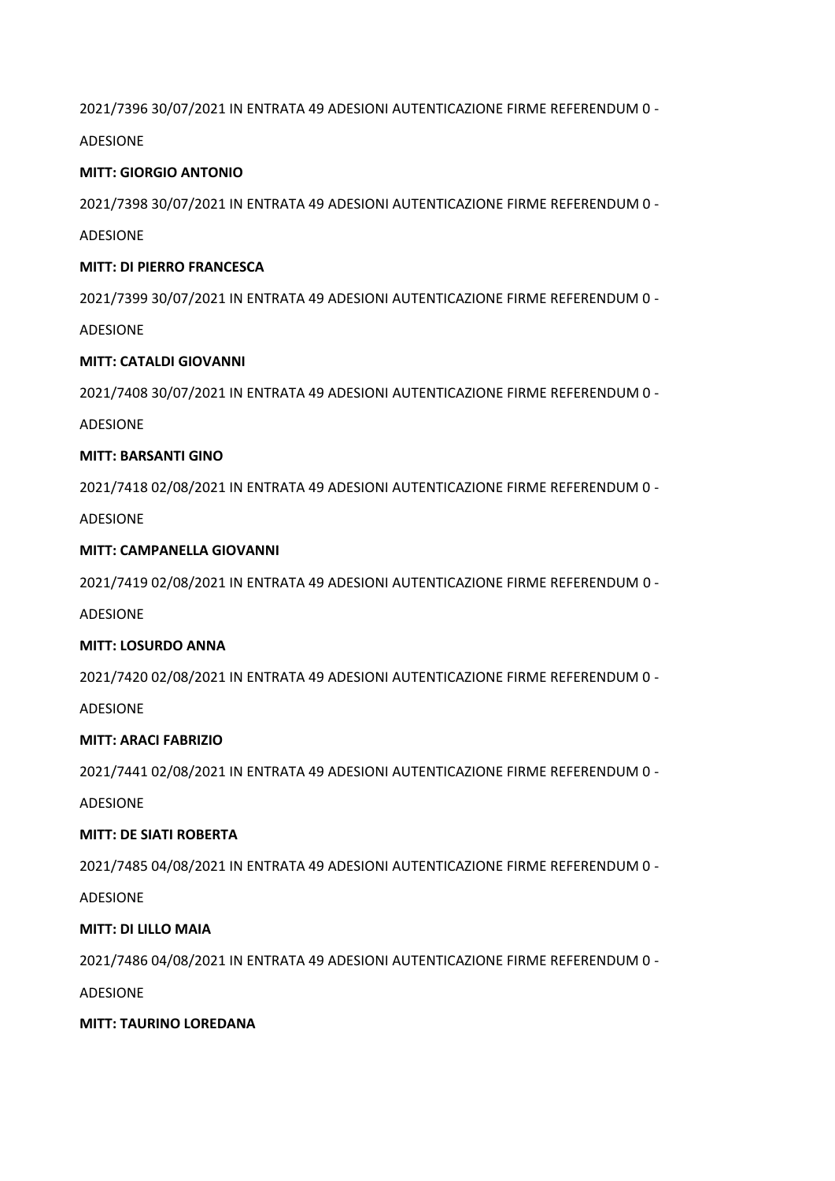2021/7396 30/07/2021 IN ENTRATA 49 ADESIONI AUTENTICAZIONE FIRME REFERENDUM 0 -

ADESIONE

## **MITT: GIORGIO ANTONIO**

2021/7398 30/07/2021 IN ENTRATA 49 ADESIONI AUTENTICAZIONE FIRME REFERENDUM 0 -

ADESIONE

#### **MITT: DI PIERRO FRANCESCA**

2021/7399 30/07/2021 IN ENTRATA 49 ADESIONI AUTENTICAZIONE FIRME REFERENDUM 0 -

ADESIONE

## **MITT: CATALDI GIOVANNI**

2021/7408 30/07/2021 IN ENTRATA 49 ADESIONI AUTENTICAZIONE FIRME REFERENDUM 0 -

ADESIONE

## **MITT: BARSANTI GINO**

2021/7418 02/08/2021 IN ENTRATA 49 ADESIONI AUTENTICAZIONE FIRME REFERENDUM 0 -

ADESIONE

## **MITT: CAMPANELLA GIOVANNI**

2021/7419 02/08/2021 IN ENTRATA 49 ADESIONI AUTENTICAZIONE FIRME REFERENDUM 0 -

ADESIONE

# **MITT: LOSURDO ANNA**

2021/7420 02/08/2021 IN ENTRATA 49 ADESIONI AUTENTICAZIONE FIRME REFERENDUM 0 -

ADESIONE

# **MITT: ARACI FABRIZIO**

2021/7441 02/08/2021 IN ENTRATA 49 ADESIONI AUTENTICAZIONE FIRME REFERENDUM 0 -

ADESIONE

# **MITT: DE SIATI ROBERTA**

2021/7485 04/08/2021 IN ENTRATA 49 ADESIONI AUTENTICAZIONE FIRME REFERENDUM 0 -

ADESIONE

# **MITT: DI LILLO MAIA**

2021/7486 04/08/2021 IN ENTRATA 49 ADESIONI AUTENTICAZIONE FIRME REFERENDUM 0 -

ADESIONE

#### **MITT: TAURINO LOREDANA**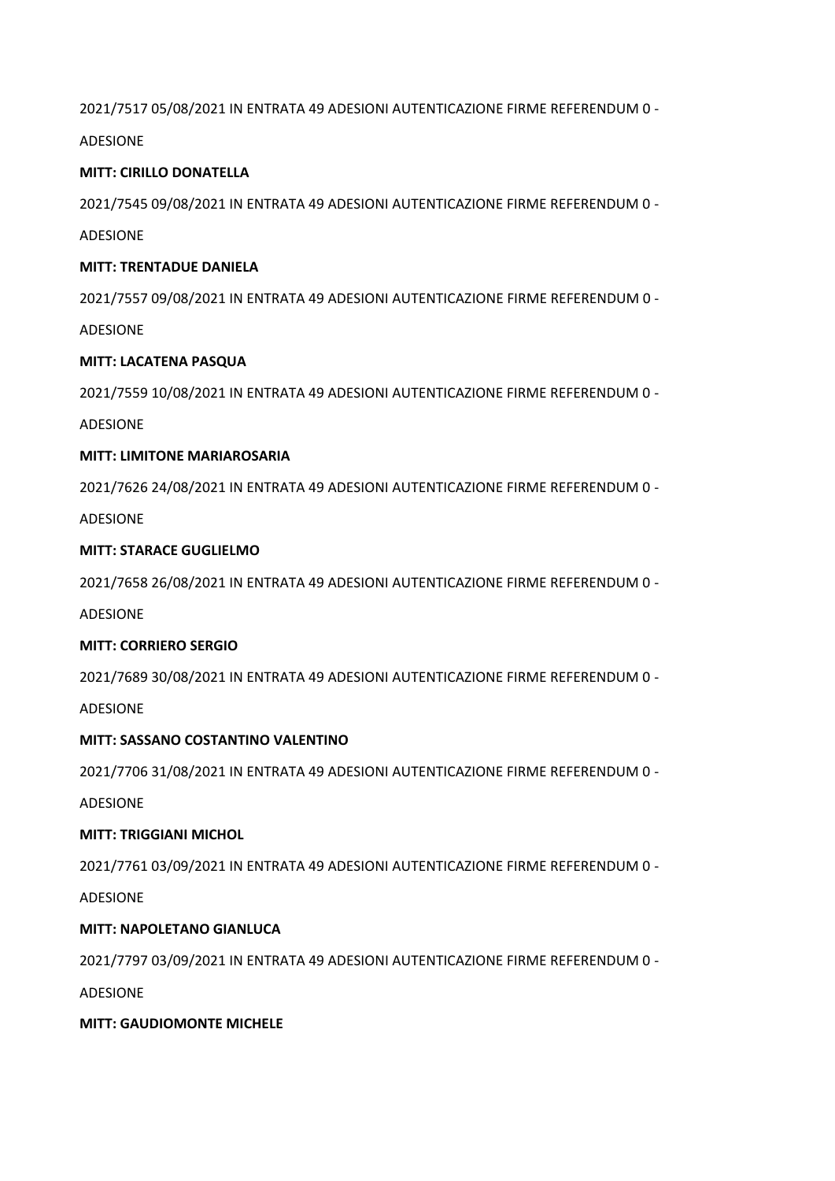2021/7517 05/08/2021 IN ENTRATA 49 ADESIONI AUTENTICAZIONE FIRME REFERENDUM 0 -

ADESIONE

## **MITT: CIRILLO DONATELLA**

2021/7545 09/08/2021 IN ENTRATA 49 ADESIONI AUTENTICAZIONE FIRME REFERENDUM 0 -

ADESIONE

#### **MITT: TRENTADUE DANIELA**

2021/7557 09/08/2021 IN ENTRATA 49 ADESIONI AUTENTICAZIONE FIRME REFERENDUM 0 -

ADESIONE

## **MITT: LACATENA PASQUA**

2021/7559 10/08/2021 IN ENTRATA 49 ADESIONI AUTENTICAZIONE FIRME REFERENDUM 0 -

ADESIONE

## **MITT: LIMITONE MARIAROSARIA**

2021/7626 24/08/2021 IN ENTRATA 49 ADESIONI AUTENTICAZIONE FIRME REFERENDUM 0 -

ADESIONE

## **MITT: STARACE GUGLIELMO**

2021/7658 26/08/2021 IN ENTRATA 49 ADESIONI AUTENTICAZIONE FIRME REFERENDUM 0 -

ADESIONE

# **MITT: CORRIERO SERGIO**

2021/7689 30/08/2021 IN ENTRATA 49 ADESIONI AUTENTICAZIONE FIRME REFERENDUM 0 -

ADESIONE

# **MITT: SASSANO COSTANTINO VALENTINO**

2021/7706 31/08/2021 IN ENTRATA 49 ADESIONI AUTENTICAZIONE FIRME REFERENDUM 0 -

ADESIONE

# **MITT: TRIGGIANI MICHOL**

2021/7761 03/09/2021 IN ENTRATA 49 ADESIONI AUTENTICAZIONE FIRME REFERENDUM 0 -

ADESIONE

# **MITT: NAPOLETANO GIANLUCA**

2021/7797 03/09/2021 IN ENTRATA 49 ADESIONI AUTENTICAZIONE FIRME REFERENDUM 0 -

ADESIONE

#### **MITT: GAUDIOMONTE MICHELE**